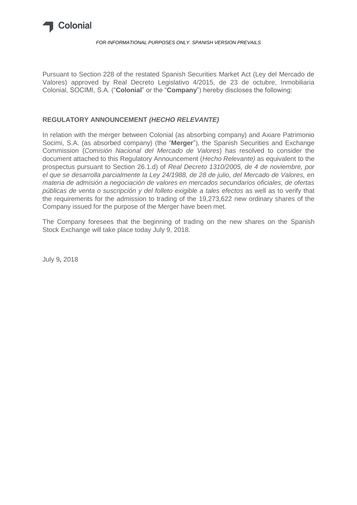

#### *FOR INFORMATIONAL PURPOSES ONLY. SPANISH VERSION PREVAILS*

Pursuant to Section 228 of the restated Spanish Securities Market Act (Ley del Mercado de Valores) approved by Real Decreto Legislativo 4/2015, de 23 de octubre, Inmobiliaria Colonial, SOCIMI, S.A. ("**Colonial**" or the "**Company**") hereby discloses the following:

# **REGULATORY ANNOUNCEMENT** *(HECHO RELEVANTE)*

In relation with the merger between Colonial (as absorbing company) and Axiare Patrimonio Socimi, S.A. (as absorbed company) (the "**Merger**"), the Spanish Securities and Exchange Commission (*Comisión Nacional del Mercado de Valores*) has resolved to consider the document attached to this Regulatory Announcement (*Hecho Relevante)* as equivalent to the prospectus pursuant to Section 26.1.d) of *Real Decreto 1310/2005, de 4 de noviembre, por el que se desarrolla parcialmente la Ley 24/1988, de 28 de julio, del Mercado de Valores, en materia de admisión a negociación de valores en mercados secundarios oficiales, de ofertas públicas de venta o suscripción y del folleto exigible a tales efectos* as well as to verify that the requirements for the admission to trading of the 19,273,622 new ordinary shares of the Company issued for the purpose of the Merger have been met.

The Company foresees that the beginning of trading on the new shares on the Spanish Stock Exchange will take place today July 9, 2018.

July 9**,** 2018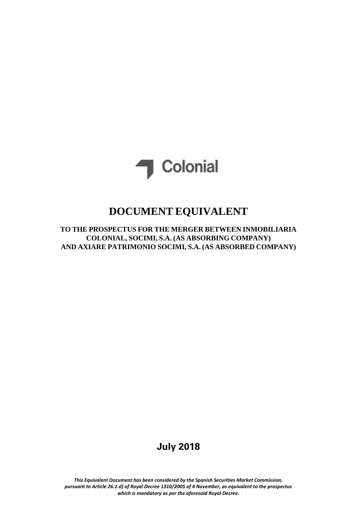

# **DOCUMENT EQUIVALENT**

**TO THE PROSPECTUS FOR THE MERGER BETWEEN INMOBILIARIA COLONIAL, SOCIMI, S.A. (AS ABSORBING COMPANY) AND AXIARE PATRIMONIO SOCIMI, S.A. (AS ABSORBED COMPANY)**

# **July 2018**

*This Equivalent Document has been considered by the Spanish Securities Market Commission, pursuant to Article 26.1.d) of Royal Decree 1310/2005 of 4 November, as equivalent to the prospectus which is mandatory as per the aforesaid Royal Decree.*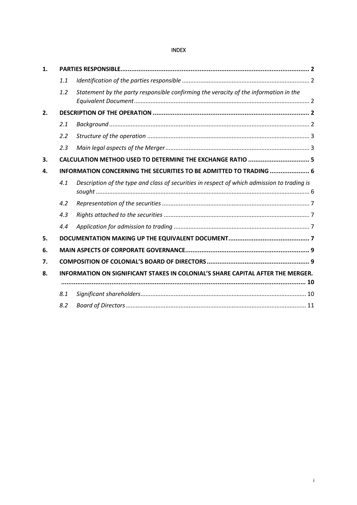# INDEX

| $\mathbf{1}$ . |                                                                                 |                                                                                             |  |  |  |  |
|----------------|---------------------------------------------------------------------------------|---------------------------------------------------------------------------------------------|--|--|--|--|
|                | 1.1                                                                             |                                                                                             |  |  |  |  |
|                | 1.2                                                                             | Statement by the party responsible confirming the veracity of the information in the        |  |  |  |  |
| 2.             |                                                                                 |                                                                                             |  |  |  |  |
|                | 2.1                                                                             |                                                                                             |  |  |  |  |
|                | 2.2                                                                             |                                                                                             |  |  |  |  |
|                | 2.3                                                                             |                                                                                             |  |  |  |  |
| 3.             |                                                                                 | CALCULATION METHOD USED TO DETERMINE THE EXCHANGE RATIO  5                                  |  |  |  |  |
| 4.             |                                                                                 | INFORMATION CONCERNING THE SECURITIES TO BE ADMITTED TO TRADING  6                          |  |  |  |  |
|                | 4.1                                                                             | Description of the type and class of securities in respect of which admission to trading is |  |  |  |  |
|                | 4.2                                                                             |                                                                                             |  |  |  |  |
|                | 4.3                                                                             |                                                                                             |  |  |  |  |
|                | 4.4                                                                             |                                                                                             |  |  |  |  |
| 5.             |                                                                                 |                                                                                             |  |  |  |  |
| 6.             |                                                                                 |                                                                                             |  |  |  |  |
| 7.             |                                                                                 |                                                                                             |  |  |  |  |
| 8.             | INFORMATION ON SIGNIFICANT STAKES IN COLONIAL'S SHARE CAPITAL AFTER THE MERGER. |                                                                                             |  |  |  |  |
|                |                                                                                 |                                                                                             |  |  |  |  |
|                | 8.1                                                                             |                                                                                             |  |  |  |  |
|                | 8.2                                                                             |                                                                                             |  |  |  |  |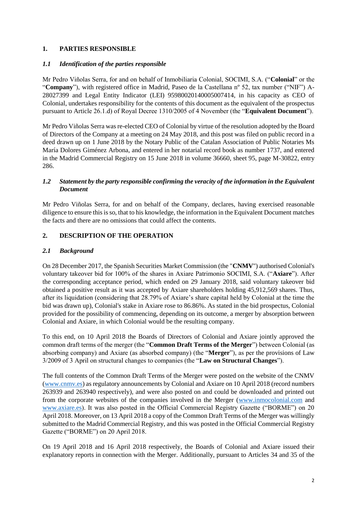# <span id="page-3-0"></span>**1. PARTIES RESPONSIBLE**

#### <span id="page-3-1"></span>*1.1 Identification of the parties responsible*

Mr Pedro Viñolas Serra, for and on behalf of Inmobiliaria Colonial, SOCIMI, S.A. ("**Colonial**" or the "**Company**"), with registered office in Madrid, Paseo de la Castellana nº 52, tax number ("NIF") A-28027399 and Legal Entity Indicator (LEI) 95980020140005007414, in his capacity as CEO of Colonial, undertakes responsibility for the contents of this document as the equivalent of the prospectus pursuant to Article 26.1.d) of Royal Decree 1310/2005 of 4 November (the "**Equivalent Document**").

Mr Pedro Viñolas Serra was re-elected CEO of Colonial by virtue of the resolution adopted by the Board of Directors of the Company at a meeting on 24 May 2018, and this post was filed on public record in a deed drawn up on 1 June 2018 by the Notary Public of the Catalan Association of Public Notaries Ms María Dolores Giménez Arbona, and entered in her notarial record book as number 1737, and entered in the Madrid Commercial Registry on 15 June 2018 in volume 36660, sheet 95, page M-30822, entry 286.

### <span id="page-3-2"></span>*1.2 Statement by the party responsible confirming the veracity of the information in the Equivalent Document*

Mr Pedro Viñolas Serra, for and on behalf of the Company, declares, having exercised reasonable diligence to ensure this is so, that to his knowledge, the information in the Equivalent Document matches the facts and there are no omissions that could affect the contents.

# <span id="page-3-3"></span>**2. DESCRIPTION OF THE OPERATION**

### <span id="page-3-4"></span>*2.1 Background*

On 28 December 2017, the Spanish Securities Market Commission (the "**CNMV**") authorised Colonial's voluntary takeover bid for 100% of the shares in Axiare Patrimonio SOCIMI, S.A. ("**Axiare**"). After the corresponding acceptance period, which ended on 29 January 2018, said voluntary takeover bid obtained a positive result as it was accepted by Axiare shareholders holding 45,912,569 shares. Thus, after its liquidation (considering that 28.79% of Axiare's share capital held by Colonial at the time the bid was drawn up), Colonial's stake in Axiare rose to 86.86%. As stated in the bid prospectus, Colonial provided for the possibility of commencing, depending on its outcome, a merger by absorption between Colonial and Axiare, in which Colonial would be the resulting company.

To this end, on 10 April 2018 the Boards of Directors of Colonial and Axiare jointly approved the common draft terms of the merger (the "**Common Draft Terms of the Merger**") between Colonial (as absorbing company) and Axiare (as absorbed company) (the "**Merger**"), as per the provisions of Law 3/2009 of 3 April on structural changes to companies (the "**Law on Structural Changes**").

The full contents of the Common Draft Terms of the Merger were posted on the website of the CNMV [\(www.cnmv.es\)](http://www.cnmv.es/) as regulatory announcements by Colonial and Axiare on 10 April 2018 (record numbers 263939 and 263940 respectively), and were also posted on and could be downloaded and printed out from the corporate websites of the companies involved in the Merger [\(www.inmocolonial.com](http://www.inmocolonial.com/) and [www.axiare.es\)](http://www.axiare.es/). It was also posted in the Official Commercial Registry Gazette ("BORME") on 20 April 2018. Moreover, on 13 April 2018 a copy of the Common Draft Terms of the Merger was willingly submitted to the Madrid Commercial Registry, and this was posted in the Official Commercial Registry Gazette ("BORME") on 20 April 2018.

On 19 April 2018 and 16 April 2018 respectively, the Boards of Colonial and Axiare issued their explanatory reports in connection with the Merger. Additionally, pursuant to Articles 34 and 35 of the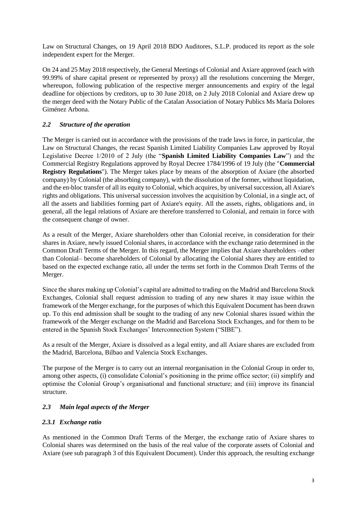Law on Structural Changes, on 19 April 2018 BDO Auditores, S.L.P. produced its report as the sole independent expert for the Merger.

On 24 and 25 May 2018 respectively, the General Meetings of Colonial and Axiare approved (each with 99.99% of share capital present or represented by proxy) all the resolutions concerning the Merger, whereupon, following publication of the respective merger announcements and expiry of the legal deadline for objections by creditors, up to 30 June 2018, on 2 July 2018 Colonial and Axiare drew up the merger deed with the Notary Public of the Catalan Association of Notary Publics Ms María Dolores Giménez Arbona.

# <span id="page-4-0"></span>*2.2 Structure of the operation*

The Merger is carried out in accordance with the provisions of the trade laws in force, in particular, the Law on Structural Changes, the recast Spanish Limited Liability Companies Law approved by Royal Legislative Decree 1/2010 of 2 July (the "**Spanish Limited Liability Companies Law**") and the Commercial Registry Regulations approved by Royal Decree 1784/1996 of 19 July (the "**Commercial Registry Regulations**"). The Merger takes place by means of the absorption of Axiare (the absorbed company) by Colonial (the absorbing company), with the dissolution of the former, without liquidation, and the en-bloc transfer of all its equity to Colonial, which acquires, by universal succession, all Axiare's rights and obligations. This universal succession involves the acquisition by Colonial, in a single act, of all the assets and liabilities forming part of Axiare's equity. All the assets, rights, obligations and, in general, all the legal relations of Axiare are therefore transferred to Colonial, and remain in force with the consequent change of owner.

As a result of the Merger, Axiare shareholders other than Colonial receive, in consideration for their shares in Axiare, newly issued Colonial shares, in accordance with the exchange ratio determined in the Common Draft Terms of the Merger. In this regard, the Merger implies that Axiare shareholders –other than Colonial– become shareholders of Colonial by allocating the Colonial shares they are entitled to based on the expected exchange ratio, all under the terms set forth in the Common Draft Terms of the Merger.

Since the shares making up Colonial's capital are admitted to trading on the Madrid and Barcelona Stock Exchanges, Colonial shall request admission to trading of any new shares it may issue within the framework of the Merger exchange, for the purposes of which this Equivalent Document has been drawn up. To this end admission shall be sought to the trading of any new Colonial shares issued within the framework of the Merger exchange on the Madrid and Barcelona Stock Exchanges, and for them to be entered in the Spanish Stock Exchanges' Interconnection System ("SIBE").

As a result of the Merger, Axiare is dissolved as a legal entity, and all Axiare shares are excluded from the Madrid, Barcelona, Bilbao and Valencia Stock Exchanges.

The purpose of the Merger is to carry out an internal reorganisation in the Colonial Group in order to, among other aspects, (i) consolidate Colonial's positioning in the prime office sector; (ii) simplify and optimise the Colonial Group's organisational and functional structure; and (iii) improve its financial structure.

### <span id="page-4-1"></span>*2.3 Main legal aspects of the Merger*

### *2.3.1 Exchange ratio*

As mentioned in the Common Draft Terms of the Merger, the exchange ratio of Axiare shares to Colonial shares was determined on the basis of the real value of the corporate assets of Colonial and Axiare (see sub paragraph 3 of this Equivalent Document). Under this approach, the resulting exchange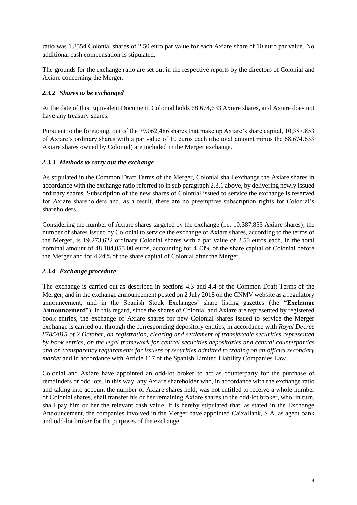ratio was 1.8554 Colonial shares of 2.50 euro par value for each Axiare share of 10 euro par value. No additional cash compensation is stipulated.

The grounds for the exchange ratio are set out in the respective reports by the directors of Colonial and Axiare concerning the Merger.

# *2.3.2 Shares to be exchanged*

At the date of this Equivalent Document, Colonial holds 68,674,633 Axiare shares, and Axiare does not have any treasury shares.

Pursuant to the foregoing, out of the 79,062,486 shares that make up Axiare's share capital, 10,387,853 of Axiare's ordinary shares with a par value of 10 euros each (the total amount minus the 68,674,633 Axiare shares owned by Colonial) are included in the Merger exchange.

### *2.3.3 Methods to carry out the exchange*

As stipulated in the Common Draft Terms of the Merger, Colonial shall exchange the Axiare shares in accordance with the exchange ratio referred to in sub paragraph 2.3.1 above, by delivering newly issued ordinary shares. Subscription of the new shares of Colonial issued to service the exchange is reserved for Axiare shareholders and, as a result, there are no preemptive subscription rights for Colonial's shareholders.

Considering the number of Axiare shares targeted by the exchange (i.e. 10,387,853 Axiare shares), the number of shares issued by Colonial to service the exchange of Axiare shares, according to the terms of the Merger, is 19,273,622 ordinary Colonial shares with a par value of 2.50 euros each, in the total nominal amount of 48,184,055.00 euros, accounting for 4.43% of the share capital of Colonial before the Merger and for 4.24% of the share capital of Colonial after the Merger.

### *2.3.4 Exchange procedure*

The exchange is carried out as described in sections 4.3 and 4.4 of the Common Draft Terms of the Merger, and in the exchange announcement posted on 2 July 2018 on the CNMV website as a regulatory announcement, and in the Spanish Stock Exchanges' share listing gazettes (the **"Exchange Announcement"**). In this regard, since the shares of Colonial and Axiare are represented by registered book entries, the exchange of Axiare shares for new Colonial shares issued to service the Merger exchange is carried out through the corresponding depository entities, in accordance with *Royal Decree 878/2015 of 2 October, on registration, clearing and settlement of transferable securities represented by book entries, on the legal framework for central securities depositories and central counterparties and on transparency requirements for issuers of securities admitted to trading on an official secondary market* and in accordance with Article 117 of the Spanish Limited Liability Companies Law.

Colonial and Axiare have appointed an odd-lot broker to act as counterparty for the purchase of remainders or odd lots. In this way, any Axiare shareholder who, in accordance with the exchange ratio and taking into account the number of Axiare shares held, was not entitled to receive a whole number of Colonial shares, shall transfer his or her remaining Axiare shares to the odd-lot broker, who, in turn, shall pay him or her the relevant cash value. It is hereby stipulated that, as stated in the Exchange Announcement, the companies involved in the Merger have appointed CaixaBank, S.A. as agent bank and odd-lot broker for the purposes of the exchange.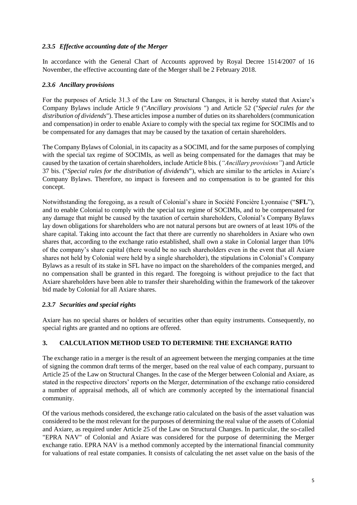# *2.3.5 Effective accounting date of the Merger*

In accordance with the General Chart of Accounts approved by Royal Decree 1514/2007 of 16 November, the effective accounting date of the Merger shall be 2 February 2018.

# *2.3.6 Ancillary provisions*

For the purposes of Article 31.3 of the Law on Structural Changes, it is hereby stated that Axiare's Company Bylaws include Article 9 ("*Ancillary provisions* ") and Article 52 ("*Special rules for the distribution of dividends*"). These articles impose a number of duties on its shareholders (communication and compensation) in order to enable Axiare to comply with the special tax regime for SOCIMIs and to be compensated for any damages that may be caused by the taxation of certain shareholders.

The Company Bylaws of Colonial, in its capacity as a SOCIMI, and for the same purposes of complying with the special tax regime of SOCIMIs, as well as being compensated for the damages that may be caused by the taxation of certain shareholders, include Article 8 bis. (*"Ancillary provisions"*) and Article 37 bis. ("*Special rules for the distribution of dividends*"), which are similar to the articles in Axiare's Company Bylaws. Therefore, no impact is foreseen and no compensation is to be granted for this concept.

Notwithstanding the foregoing, as a result of Colonial's share in Société Foncière Lyonnaise ("**SFL**"), and to enable Colonial to comply with the special tax regime of SOCIMIs, and to be compensated for any damage that might be caused by the taxation of certain shareholders, Colonial's Company Bylaws lay down obligations for shareholders who are not natural persons but are owners of at least 10% of the share capital. Taking into account the fact that there are currently no shareholders in Axiare who own shares that, according to the exchange ratio established, shall own a stake in Colonial larger than 10% of the company's share capital (there would be no such shareholders even in the event that all Axiare shares not held by Colonial were held by a single shareholder), the stipulations in Colonial's Company Bylaws as a result of its stake in SFL have no impact on the shareholders of the companies merged, and no compensation shall be granted in this regard. The foregoing is without prejudice to the fact that Axiare shareholders have been able to transfer their shareholding within the framework of the takeover bid made by Colonial for all Axiare shares.

### *2.3.7 Securities and special rights*

Axiare has no special shares or holders of securities other than equity instruments. Consequently, no special rights are granted and no options are offered.

# <span id="page-6-0"></span>**3. CALCULATION METHOD USED TO DETERMINE THE EXCHANGE RATIO**

The exchange ratio in a merger is the result of an agreement between the merging companies at the time of signing the common draft terms of the merger, based on the real value of each company, pursuant to Article 25 of the Law on Structural Changes. In the case of the Merger between Colonial and Axiare, as stated in the respective directors' reports on the Merger, determination of the exchange ratio considered a number of appraisal methods, all of which are commonly accepted by the international financial community.

Of the various methods considered, the exchange ratio calculated on the basis of the asset valuation was considered to be the most relevant for the purposes of determining the real value of the assets of Colonial and Axiare, as required under Article 25 of the Law on Structural Changes. In particular, the so-called "EPRA NAV" of Colonial and Axiare was considered for the purpose of determining the Merger exchange ratio. EPRA NAV is a method commonly accepted by the international financial community for valuations of real estate companies. It consists of calculating the net asset value on the basis of the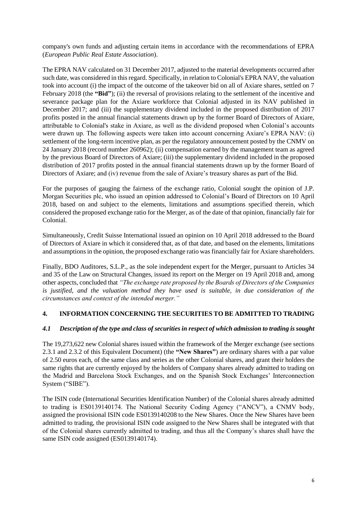company's own funds and adjusting certain items in accordance with the recommendations of EPRA (*European Public Real Estate Association*).

The EPRA NAV calculated on 31 December 2017, adjusted to the material developments occurred after such date, was considered in this regard. Specifically, in relation to Colonial's EPRA NAV, the valuation took into account (i) the impact of the outcome of the takeover bid on all of Axiare shares, settled on 7 February 2018 (the "Bid"); (ii) the reversal of provisions relating to the settlement of the incentive and severance package plan for the Axiare workforce that Colonial adjusted in its NAV published in December 2017; and (iii) the supplementary dividend included in the proposed distribution of 2017 profits posted in the annual financial statements drawn up by the former Board of Directors of Axiare, attributable to Colonial's stake in Axiare, as well as the dividend proposed when Colonial's accounts were drawn up. The following aspects were taken into account concerning Axiare's EPRA NAV: (i) settlement of the long-term incentive plan, as per the regulatory announcement posted by the CNMV on 24 January 2018 (record number 260962); (ii) compensation earned by the management team as agreed by the previous Board of Directors of Axiare; (iii) the supplementary dividend included in the proposed distribution of 2017 profits posted in the annual financial statements drawn up by the former Board of Directors of Axiare; and (iv) revenue from the sale of Axiare's treasury shares as part of the Bid.

For the purposes of gauging the fairness of the exchange ratio, Colonial sought the opinion of J.P. Morgan Securities plc, who issued an opinion addressed to Colonial's Board of Directors on 10 April 2018, based on and subject to the elements, limitations and assumptions specified therein, which considered the proposed exchange ratio for the Merger, as of the date of that opinion, financially fair for Colonial.

Simultaneously, Credit Suisse International issued an opinion on 10 April 2018 addressed to the Board of Directors of Axiare in which it considered that, as of that date, and based on the elements, limitations and assumptions in the opinion, the proposed exchange ratio was financially fair for Axiare shareholders.

Finally, BDO Auditores, S.L.P., as the sole independent expert for the Merger, pursuant to Articles 34 and 35 of the Law on Structural Changes, issued its report on the Merger on 19 April 2018 and, among other aspects, concluded that *"The exchange rate proposed by the Boards of Directors of the Companies is justified, and the valuation method they have used is suitable, in due consideration of the circumstances and context of the intended merger."*

### <span id="page-7-0"></span>**4. INFORMATION CONCERNING THE SECURITIES TO BE ADMITTED TO TRADING**

### <span id="page-7-1"></span>*4.1 Description of the type and class of securities in respect of which admission to trading is sought*

The 19,273,622 new Colonial shares issued within the framework of the Merger exchange (see sections 2.3.1 and 2.3.2 of this Equivalent Document) (the **"New Shares"**) are ordinary shares with a par value of 2.50 euros each, of the same class and series as the other Colonial shares, and grant their holders the same rights that are currently enjoyed by the holders of Company shares already admitted to trading on the Madrid and Barcelona Stock Exchanges, and on the Spanish Stock Exchanges' Interconnection System ("SIBE").

The ISIN code (International Securities Identification Number) of the Colonial shares already admitted to trading is ES0139140174. The National Security Coding Agency ("ANCV"), a CNMV body, assigned the provisional ISIN code ES0139140208 to the New Shares. Once the New Shares have been admitted to trading, the provisional ISIN code assigned to the New Shares shall be integrated with that of the Colonial shares currently admitted to trading, and thus all the Company's shares shall have the same ISIN code assigned (ES0139140174).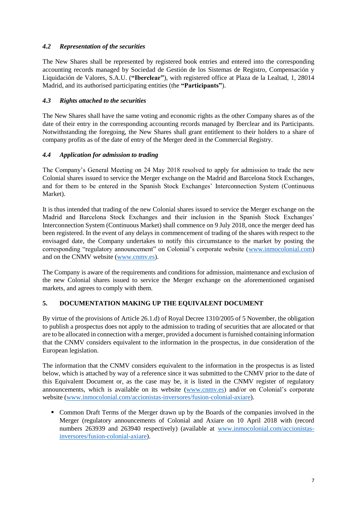# <span id="page-8-0"></span>*4.2 Representation of the securities*

The New Shares shall be represented by registered book entries and entered into the corresponding accounting records managed by Sociedad de Gestión de los Sistemas de Registro, Compensación y Liquidación de Valores, S.A.U. (**"Iberclear"**), with registered office at Plaza de la Lealtad, 1, 28014 Madrid, and its authorised participating entities (the **"Participants"**).

# <span id="page-8-1"></span>*4.3 Rights attached to the securities*

The New Shares shall have the same voting and economic rights as the other Company shares as of the date of their entry in the corresponding accounting records managed by Iberclear and its Participants. Notwithstanding the foregoing, the New Shares shall grant entitlement to their holders to a share of company profits as of the date of entry of the Merger deed in the Commercial Registry.

# <span id="page-8-2"></span>*4.4 Application for admission to trading*

The Company's General Meeting on 24 May 2018 resolved to apply for admission to trade the new Colonial shares issued to service the Merger exchange on the Madrid and Barcelona Stock Exchanges, and for them to be entered in the Spanish Stock Exchanges' Interconnection System (Continuous Market).

It is thus intended that trading of the new Colonial shares issued to service the Merger exchange on the Madrid and Barcelona Stock Exchanges and their inclusion in the Spanish Stock Exchanges' Interconnection System (Continuous Market) shall commence on 9 July 2018, once the merger deed has been registered. In the event of any delays in commencement of trading of the shares with respect to the envisaged date, the Company undertakes to notify this circumstance to the market by posting the corresponding "regulatory announcement" on Colonial's corporate website [\(www.inmocolonial.com\)](http://www.inmocolonial.com/) and on the CNMV website [\(www.cnmv.es\)](http://www.cnmv.es/).

The Company is aware of the requirements and conditions for admission, maintenance and exclusion of the new Colonial shares issued to service the Merger exchange on the aforementioned organised markets, and agrees to comply with them.

# <span id="page-8-3"></span>**5. DOCUMENTATION MAKING UP THE EQUIVALENT DOCUMENT**

By virtue of the provisions of Article 26.1.d) of Royal Decree 1310/2005 of 5 November, the obligation to publish a prospectus does not apply to the admission to trading of securities that are allocated or that are to be allocated in connection with a merger, provided a document is furnished containing information that the CNMV considers equivalent to the information in the prospectus, in due consideration of the European legislation.

The information that the CNMV considers equivalent to the information in the prospectus is as listed below, which is attached by way of a reference since it was submitted to the CNMV prior to the date of this Equivalent Document or, as the case may be, it is listed in the CNMV register of regulatory announcements, which is available on its website [\(www.cnmv.es\)](http://www.cnmv.es/) and/or on Colonial's corporate website [\(www.inmocolonial.com/accionistas-inversores/fusion-colonial-axiare\)](https://www.inmocolonial.com/accionistas-inversores/fusion-colonial-axiare).

■ Common Draft Terms of the Merger drawn up by the Boards of the companies involved in the Merger (regulatory announcements of Colonial and Axiare on 10 April 2018 with (record numbers 263939 and 263940 respectively) (available at [www.inmocolonial.com/accionistas](https://www.inmocolonial.com/accionistas-inversores/fusion-colonial-axiare)[inversores/fusion-colonial-axiare\)](https://www.inmocolonial.com/accionistas-inversores/fusion-colonial-axiare).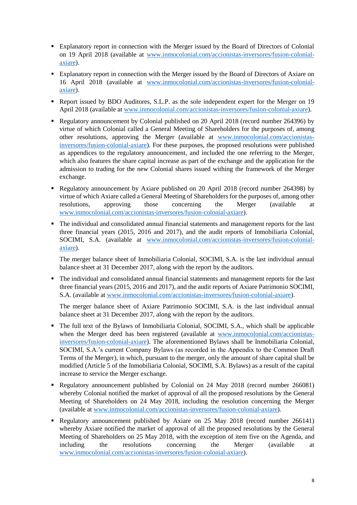- Explanatory report in connection with the Merger issued by the Board of Directors of Colonial on 19 April 2018 (available at [www.inmocolonial.com/accionistas-inversores/fusion-colonial](https://www.inmocolonial.com/accionistas-inversores/fusion-colonial-axiare)[axiare\)](https://www.inmocolonial.com/accionistas-inversores/fusion-colonial-axiare).
- Explanatory report in connection with the Merger issued by the Board of Directors of Axiare on 16 April 2018 (available at [www.inmocolonial.com/accionistas-inversores/fusion-colonial](https://www.inmocolonial.com/accionistas-inversores/fusion-colonial-axiare)[axiare\)](https://www.inmocolonial.com/accionistas-inversores/fusion-colonial-axiare).
- Report issued by BDO Auditores, S.L.P. as the sole independent expert for the Merger on 19 April 2018 (available at [www.inmocolonial.com/accionistas-inversores/fusion-colonial-axiare\)](https://www.inmocolonial.com/accionistas-inversores/fusion-colonial-axiare).
- Regulatory announcement by Colonial published on 20 April 2018 (record number 264396) by virtue of which Colonial called a General Meeting of Shareholders for the purposes of, among other resolutions, approving the Merger (available at [www.inmocolonial.com/accionistas](https://www.inmocolonial.com/accionistas-inversores/fusion-colonial-axiare)[inversores/fusion-colonial-axiare\)](https://www.inmocolonial.com/accionistas-inversores/fusion-colonial-axiare). For these purposes, the proposed resolutions were published as appendices to the regulatory announcement, and included the one referring to the Merger, which also features the share capital increase as part of the exchange and the application for the admission to trading for the new Colonial shares issued withing the framework of the Merger exchange.
- Regulatory announcement by Axiare published on 20 April 2018 (record number 264398) by virtue of which Axiare called a General Meeting of Shareholders for the purposes of, among other resolutions, approving those concerning the Merger (available at [www.inmocolonial.com/accionistas-inversores/fusion-colonial-axiare\)](https://www.inmocolonial.com/accionistas-inversores/fusion-colonial-axiare).
- The individual and consolidated annual financial statements and management reports for the last three financial years (2015, 2016 and 2017), and the audit reports of Inmobiliaria Colonial, SOCIMI, S.A. (available at [www.inmocolonial.com/accionistas-inversores/fusion-colonial](https://www.inmocolonial.com/accionistas-inversores/fusion-colonial-axiare)[axiare\)](https://www.inmocolonial.com/accionistas-inversores/fusion-colonial-axiare).

The merger balance sheet of Inmobiliaria Colonial, SOCIMI, S.A. is the last individual annual balance sheet at 31 December 2017, along with the report by the auditors.

▪ The individual and consolidated annual financial statements and management reports for the last three financial years (2015, 2016 and 2017), and the audit reports of Axiare Patrimonio SOCIMI, S.A. (available at [www.inmocolonial.com/accionistas-inversores/fusion-colonial-axiare\)](https://www.inmocolonial.com/accionistas-inversores/fusion-colonial-axiare).

The merger balance sheet of Axiare Patrimonio SOCIMI, S.A. is the last individual annual balance sheet at 31 December 2017, along with the report by the auditors.

- The full text of the Bylaws of Inmobiliaria Colonial, SOCIMI, S.A., which shall be applicable when the Merger deed has been registered (available at [www.inmocolonial.com/accionistas](https://www.inmocolonial.com/accionistas-inversores/fusion-colonial-axiare)[inversores/fusion-colonial-axiare\)](https://www.inmocolonial.com/accionistas-inversores/fusion-colonial-axiare). The aforementioned Bylaws shall be Inmobiliaria Colonial, SOCIMI, S.A.'s current Company Bylaws (as recorded in the Appendix to the Common Draft Terms of the Merger), in which, pursuant to the merger, only the amount of share capital shall be modified (Article 5 of the Inmobiliaria Colonial, SOCIMI, S.A. Bylaws) as a result of the capital increase to service the Merger exchange.
- Regulatory announcement published by Colonial on 24 May 2018 (record number 266081) whereby Colonial notified the market of approval of all the proposed resolutions by the General Meeting of Shareholders on 24 May 2018, including the resolution concerning the Merger (available at [www.inmocolonial.com/accionistas-inversores/fusion-colonial-axiare\)](https://www.inmocolonial.com/accionistas-inversores/fusion-colonial-axiare).
- Regulatory announcement published by Axiare on 25 May 2018 (record number 266141) whereby Axiare notified the market of approval of all the proposed resolutions by the General Meeting of Shareholders on 25 May 2018, with the exception of item five on the Agenda, and including the resolutions concerning the Merger (available at [www.inmocolonial.com/accionistas-inversores/fusion-colonial-axiare\)](https://www.inmocolonial.com/accionistas-inversores/fusion-colonial-axiare).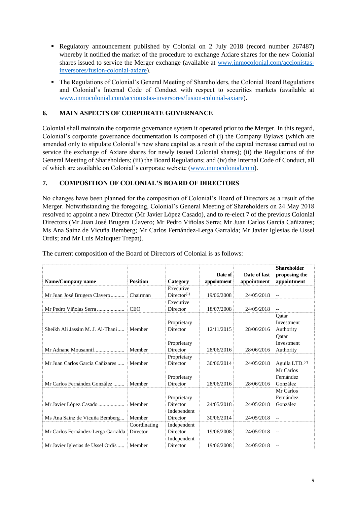- **•** Regulatory announcement published by Colonial on 2 July 2018 (record number 267487) whereby it notified the market of the procedure to exchange Axiare shares for the new Colonial shares issued to service the Merger exchange (available at [www.inmocolonial.com/accionistas](https://www.inmocolonial.com/accionistas-inversores/fusion-colonial-axiare)[inversores/fusion-colonial-axiare\)](https://www.inmocolonial.com/accionistas-inversores/fusion-colonial-axiare).
- The Regulations of Colonial's General Meeting of Shareholders, the Colonial Board Regulations and Colonial's Internal Code of Conduct with respect to securities markets (available at [www.inmocolonial.com/accionistas-inversores/fusion-colonial-axiare\)](https://www.inmocolonial.com/accionistas-inversores/fusion-colonial-axiare).

# <span id="page-10-0"></span>**6. MAIN ASPECTS OF CORPORATE GOVERNANCE**

Colonial shall maintain the corporate governance system it operated prior to the Merger. In this regard, Colonial's corporate governance documentation is composed of (i) the Company Bylaws (which are amended only to stipulate Colonial's new share capital as a result of the capital increase carried out to service the exchange of Axiare shares for newly issued Colonial shares); (ii) the Regulations of the General Meeting of Shareholders; (iii) the Board Regulations; and (iv) the Internal Code of Conduct, all of which are available on Colonial's corporate website [\(www.inmocolonial.com\)](http://www.inmocolonial.com/).

### <span id="page-10-1"></span>**7. COMPOSITION OF COLONIAL'S BOARD OF DIRECTORS**

No changes have been planned for the composition of Colonial's Board of Directors as a result of the Merger. Notwithstanding the foregoing, Colonial's General Meeting of Shareholders on 24 May 2018 resolved to appoint a new Director (Mr Javier López Casado), and to re-elect 7 of the previous Colonial Directors (Mr Juan José Brugera Clavero; Mr Pedro Viñolas Serra; Mr Juan Carlos García Cañizares; Ms Ana Sainz de Vicuña Bemberg; Mr Carlos Fernández-Lerga Garralda; Mr Javier Iglesias de Ussel Ordís; and Mr Luis Maluquer Trepat).

| Name/Company name                  | <b>Position</b>          | Category                | Date of<br>appointment | Date of last<br>appointment | <b>Shareholder</b><br>proposing the<br>appointment |
|------------------------------------|--------------------------|-------------------------|------------------------|-----------------------------|----------------------------------------------------|
|                                    |                          | Executive               |                        |                             |                                                    |
| Mr Juan José Brugera Clavero       | Chairman                 | Director <sup>(1)</sup> | 19/06/2008             | 24/05/2018                  | ۰.                                                 |
|                                    |                          | Executive               |                        |                             |                                                    |
| Mr Pedro Viñolas Serra             | <b>CEO</b>               | Director                | 18/07/2008             | 24/05/2018                  | $\overline{\phantom{a}}$                           |
| Sheikh Ali Jassim M. J. Al-Thani   | Member                   | Proprietary<br>Director | 12/11/2015             | 28/06/2016                  | Oatar<br>Investment<br>Authority                   |
| Mr Adnane Mousannif                | Member                   | Proprietary<br>Director | 28/06/2016             | 28/06/2016                  | Oatar<br>Investment<br>Authority                   |
| Mr Juan Carlos García Cañizares    | Member                   | Proprietary<br>Director | 30/06/2014             | 24/05/2018                  | Aguila LTD. <sup>(2)</sup>                         |
| Mr Carlos Fernández González       | Member                   | Proprietary<br>Director | 28/06/2016             | 28/06/2016                  | Mr Carlos<br>Fernández<br>González                 |
| Mr Javier López Casado             | Member                   | Proprietary<br>Director | 24/05/2018             | 24/05/2018                  | Mr Carlos<br>Fernández<br>González                 |
| Ms Ana Sainz de Vicuña Bemberg     | Member                   | Independent<br>Director | 30/06/2014             | 24/05/2018                  | $-$                                                |
| Mr Carlos Fernández-Lerga Garralda | Coordinating<br>Director | Independent<br>Director | 19/06/2008             | 24/05/2018                  | $-$                                                |
| Mr Javier Iglesias de Ussel Ordís  | Member                   | Independent<br>Director | 19/06/2008             | 24/05/2018                  | $-$                                                |

The current composition of the Board of Directors of Colonial is as follows: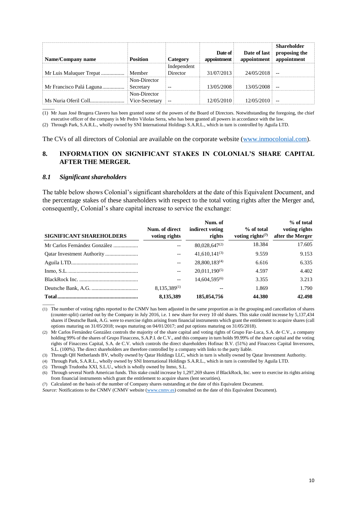| Name/Company name         | <b>Position</b>                | Category                | Date of<br>appointment | Date of last<br>appointment | <b>Shareholder</b><br>proposing the<br>appointment |
|---------------------------|--------------------------------|-------------------------|------------------------|-----------------------------|----------------------------------------------------|
| Mr Luis Maluquer Trepat.  | Member                         | Independent<br>Director | 31/07/2013             | 24/05/2018                  |                                                    |
| Mr Francisco Palá Laguna. | Non-Director<br>Secretary      | $- -$                   | 13/05/2008             | 13/05/2008                  | $- -$                                              |
| Ms Nuria Oferil Coll      | Non-Director<br>Vice-Secretary | $- -$                   | 12/05/2010             | 12/05/2010                  |                                                    |

(1) Mr Juan José Brugera Clavero has been granted some of the powers of the Board of Directors. Notwithstanding the foregoing, the chief executive officer of the company is Mr Pedro Viñolas Serra, who has been granted all powers in accordance with the law.

(2) Through Park, S.A.R.L., wholly owned by SNI International Holdings S.A.R.L., which in turn is controlled by Aguila LTD.

The CVs of all directors of Colonial are available on the corporate website [\(www.inmocolonial.com\)](http://www.inmocolonial.com/).

# <span id="page-11-0"></span>**8. INFORMATION ON SIGNIFICANT STAKES IN COLONIAL'S SHARE CAPITAL AFTER THE MERGER.**

#### <span id="page-11-1"></span>*8.1 Significant shareholders*

 $\overline{\phantom{a}}$ 

The table below shows Colonial's significant shareholders at the date of this Equivalent Document, and the percentage stakes of these shareholders with respect to the total voting rights after the Merger and, consequently, Colonial's share capital increase to service the exchange:

| <b>SIGNIFICANT SHAREHOLDERS</b> | Num. of direct<br>voting rights | Num. of<br>indirect voting<br>rights | % of total<br>voting rights $(7)$ | % of total<br>voting rights<br>after the Merger |
|---------------------------------|---------------------------------|--------------------------------------|-----------------------------------|-------------------------------------------------|
| Mr Carlos Fernández González    |                                 | $80,028,647^{(2)}$                   | 18.384                            | 17.605                                          |
|                                 |                                 | $41,610,141^{(3)}$                   | 9.559                             | 9.153                                           |
|                                 |                                 | 28,800,183 <sup>(4)</sup>            | 6.616                             | 6.335                                           |
|                                 |                                 | $20.011.190^{(5)}$                   | 4.597                             | 4.402                                           |
|                                 |                                 | $14,604,595^{(6)}$                   | 3.355                             | 3.213                                           |
|                                 | $8.135.389^{(1)}$               |                                      | 1.869                             | 1.790                                           |
|                                 | 8.135.389                       | 185,054,756                          | 44.380                            | 42.498                                          |

(1) The number of voting rights reported to the CNMV has been adjusted in the same proportion as in the grouping and cancellation of shares (counter-split) carried out by the Company in July 2016, i.e. 1 new share for every 10 old shares. This stake could increase by 5,137,434 shares if Deutsche Bank, A.G. were to exercise rights arising from financial instruments which grant the entitlement to acquire shares (call options maturing on 31/05/2018; swaps maturing on 04/01/2017; and put options maturing on 31/05/2018).

(2) Mr Carlos Fernández González controls the majority of the share capital and voting rights of Grupo Far-Luca, S.A. de C.V., a company holding 99% of the shares of Grupo Finaccess, S.A.P.I. de C.V., and this company in turn holds 99.99% of the share capital and the voting rights of Finaccess Capital, S.A. de C.V. which controls the direct shareholders Hofinac B.V. (51%) and Finaccess Capital Inversores, S.L. (100%). The direct shareholders are therefore controlled by a company with links to the party liable.

(3) Through QH Netherlands BV, wholly owned by Qatar Holdings LLC, which in turn is wholly owned by Qatar Investment Authority.

(4) Through Park, S.A.R.L., wholly owned by SNI International Holdings S.A.R.L., which in turn is controlled by Aguila LTD.

(5) Through Trudonba XXI, S.L.U., which is wholly owned by Inmo, S.L.

(6) Through several North American funds. This stake could increase by 1,297,269 shares if BlackRock, Inc. were to exercise its rights arising from financial instruments which grant the entitlement to acquire shares (lent securities).

(7) Calculated on the basis of the number of Company shares outstanding at the date of this Equivalent Document.

*Source:* Notifications to the CNMV (CNMV website [\(www.cnmv.es\)](http://www.cnmv.es/) consulted on the date of this Equivalent Document).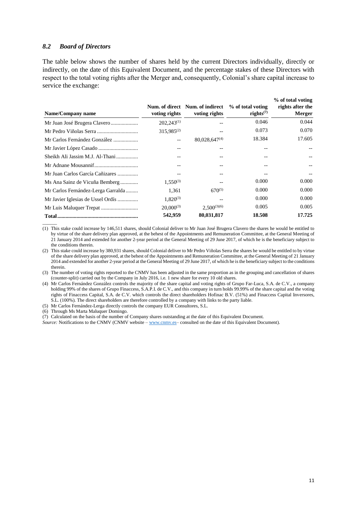#### <span id="page-12-0"></span>*8.2 Board of Directors*

The table below shows the number of shares held by the current Directors individually, directly or indirectly, on the date of this Equivalent Document, and the percentage stakes of these Directors with respect to the total voting rights after the Merger and, consequently, Colonial's share capital increase to service the exchange:

| Name/Company name                  | voting rights   | Num. of direct Num. of indirect<br>voting rights | % of total voting<br>rights $(7)$ | % of total voting<br>rights after the<br><b>Merger</b> |
|------------------------------------|-----------------|--------------------------------------------------|-----------------------------------|--------------------------------------------------------|
|                                    | $202.243^{(1)}$ |                                                  | 0.046                             | 0.044                                                  |
|                                    | $315.985^{(2)}$ | --                                               | 0.073                             | 0.070                                                  |
| Mr Carlos Fernández González       | --              | $80,028,647^{(4)}$                               | 18.384                            | 17.605                                                 |
|                                    |                 | $- -$                                            |                                   |                                                        |
| Sheikh Ali Jassim M.J. Al-Thani    | $- -$           | $- -$                                            |                                   |                                                        |
|                                    |                 | $- -$                                            |                                   |                                                        |
| Mr Juan Carlos García Cañizares    |                 |                                                  |                                   |                                                        |
| Ms Ana Sainz de Vicuña Bemberg     | $1.550^{(3)}$   |                                                  | 0.000                             | 0.000                                                  |
| Mr Carlos Fernández-Lerga Garralda | 1,361           | $670^{(5)}$                                      | 0.000                             | 0.000                                                  |
| Mr Javier Iglesias de Ussel Ordís  | $1.820^{(3)}$   | $- -$                                            | 0.000                             | 0.000                                                  |
|                                    | $20.000^{(3)}$  | $2,500^{(3)(6)}$                                 | 0.005                             | 0.005                                                  |
|                                    | 542,959         | 80,031,817                                       | 18.508                            | 17.725                                                 |

(1) This stake could increase by 146,511 shares, should Colonial deliver to Mr Juan José Brugera Clavero the shares he would be entitled to by virtue of the share delivery plan approved, at the behest of the Appointments and Remuneration Committee, at the General Meeting of 21 January 2014 and extended for another 2-year period at the General Meeting of 29 June 2017, of which he is the beneficiary subject to the conditions therein.

(2) This stake could increase by 380,931 shares, should Colonial deliver to Mr Pedro Viñolas Serra the shares he would be entitled to by virtue of the share delivery plan approved, at the behest of the Appointments and Remuneration Committee, at the General Meeting of 21 January 2014 and extended for another 2-year period at the General Meeting of 29 June 2017, of which he is the beneficiary subject to the conditions therein.

(3) The number of voting rights reported to the CNMV has been adjusted in the same proportion as in the grouping and cancellation of shares (counter-split) carried out by the Company in July 2016, i.e. 1 new share for every 10 old shares.

(4) Mr Carlos Fernández González controls the majority of the share capital and voting rights of Grupo Far-Luca, S.A. de C.V., a company holding 99% of the shares of Grupo Finaccess, S.A.P.I. de C.V., and this company in turn holds 99.99% of the share capital and the voting rights of Finaccess Capital, S.A. de C.V. which controls the direct shareholders Hofinac B.V. (51%) and Finaccess Capital Inversores, S.L. (100%). The direct shareholders are therefore controlled by a company with links to the party liable.

(5) Mr Carlos Fernández-Lerga directly controls the company EUR Consultores, S.L.

(6) Through Ms Marta Maluquer Domingo.

 $\overline{\phantom{a}}$ 

<sup>(7)</sup> Calculated on the basis of the number of Company shares outstanding at the date of this Equivalent Document.

*Source:* Notifications to the CNMV (CNMV website – [www.cnmv.es–](http://www.cnmv.es/) consulted on the date of this Equivalent Document).